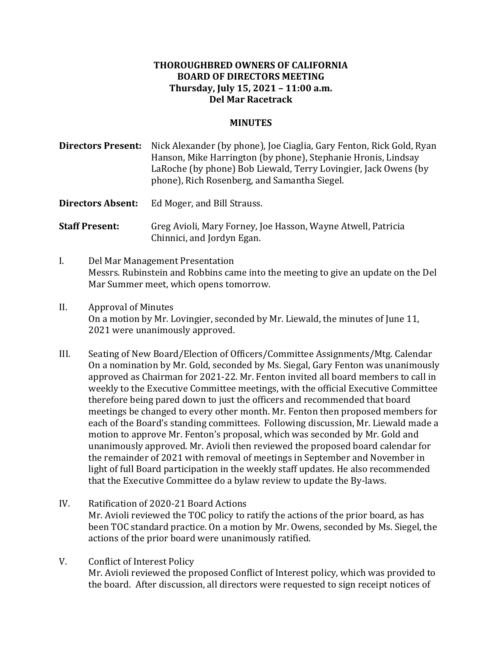### **THOROUGHBRED OWNERS OF CALIFORNIA BOARD OF DIRECTORS MEETING Thursday, July 15, 2021 – 11:00 a.m. Del Mar Racetrack**

#### **MINUTES**

**Directors Present:** Nick Alexander (by phone), Joe Ciaglia, Gary Fenton, Rick Gold, Ryan Hanson, Mike Harrington (by phone), Stephanie Hronis, Lindsay LaRoche (by phone) Bob Liewald, Terry Lovingier, Jack Owens (by phone), Rich Rosenberg, and Samantha Siegel.

**Directors Absent:** Ed Moger, and Bill Strauss.

**Staff Present:** Greg Avioli, Mary Forney, Joe Hasson, Wayne Atwell, Patricia Chinnici, and Jordyn Egan.

- I. Del Mar Management Presentation Messrs. Rubinstein and Robbins came into the meeting to give an update on the Del Mar Summer meet, which opens tomorrow.
- II. Approval of Minutes On a motion by Mr. Lovingier, seconded by Mr. Liewald, the minutes of June 11, 2021 were unanimously approved.
- III. Seating of New Board/Election of Officers/Committee Assignments/Mtg. Calendar On a nomination by Mr. Gold, seconded by Ms. Siegal, Gary Fenton was unanimously approved as Chairman for 2021-22. Mr. Fenton invited all board members to call in weekly to the Executive Committee meetings, with the official Executive Committee therefore being pared down to just the officers and recommended that board meetings be changed to every other month. Mr. Fenton then proposed members for each of the Board's standing committees. Following discussion, Mr. Liewald made a motion to approve Mr. Fenton's proposal, which was seconded by Mr. Gold and unanimously approved. Mr. Avioli then reviewed the proposed board calendar for the remainder of 2021 with removal of meetings in September and November in light of full Board participation in the weekly staff updates. He also recommended that the Executive Committee do a bylaw review to update the By-laws.
- IV. Ratification of 2020-21 Board Actions Mr. Avioli reviewed the TOC policy to ratify the actions of the prior board, as has been TOC standard practice. On a motion by Mr. Owens, seconded by Ms. Siegel, the actions of the prior board were unanimously ratified.
- V. Conflict of Interest Policy Mr. Avioli reviewed the proposed Conflict of Interest policy, which was provided to the board. After discussion, all directors were requested to sign receipt notices of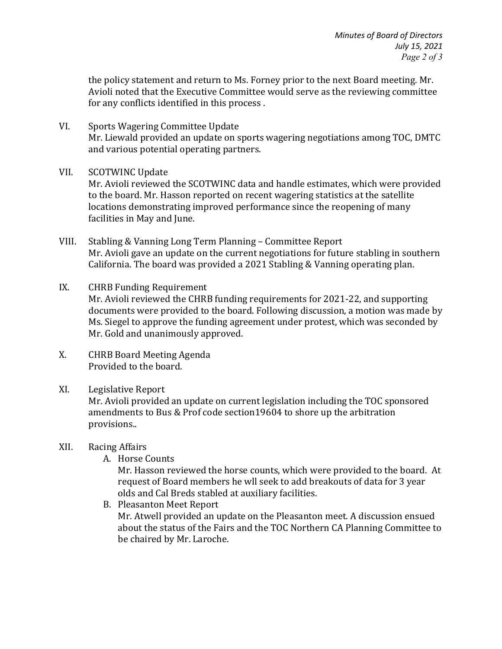the policy statement and return to Ms. Forney prior to the next Board meeting. Mr. Avioli noted that the Executive Committee would serve as the reviewing committee for any conflicts identified in this process.

VI. Sports Wagering Committee Update Mr. Liewald provided an update on sports wagering negotiations among TOC, DMTC and various potential operating partners.

### VII. SCOTWINC Update

Mr. Avioli reviewed the SCOTWINC data and handle estimates, which were provided to the board. Mr. Hasson reported on recent wagering statistics at the satellite locations demonstrating improved performance since the reopening of many facilities in May and June.

- VIII. Stabling & Vanning Long Term Planning Committee Report Mr. Avioli gave an update on the current negotiations for future stabling in southern California. The board was provided a 2021 Stabling & Vanning operating plan.
- IX. CHRB Funding Requirement Mr. Avioli reviewed the CHRB funding requirements for 2021-22, and supporting documents were provided to the board. Following discussion, a motion was made by Ms. Siegel to approve the funding agreement under protest, which was seconded by Mr. Gold and unanimously approved.
- X. CHRB Board Meeting Agenda Provided to the board.

# XI. Legislative Report

Mr. Avioli provided an update on current legislation including the TOC sponsored amendments to Bus & Prof code section19604 to shore up the arbitration provisions..

### XII. Racing Affairs

A. Horse Counts

Mr. Hasson reviewed the horse counts, which were provided to the board. At request of Board members he wll seek to add breakouts of data for 3 year olds and Cal Breds stabled at auxiliary facilities.

B. Pleasanton Meet Report Mr. Atwell provided an update on the Pleasanton meet. A discussion ensued about the status of the Fairs and the TOC Northern CA Planning Committee to be chaired by Mr. Laroche.